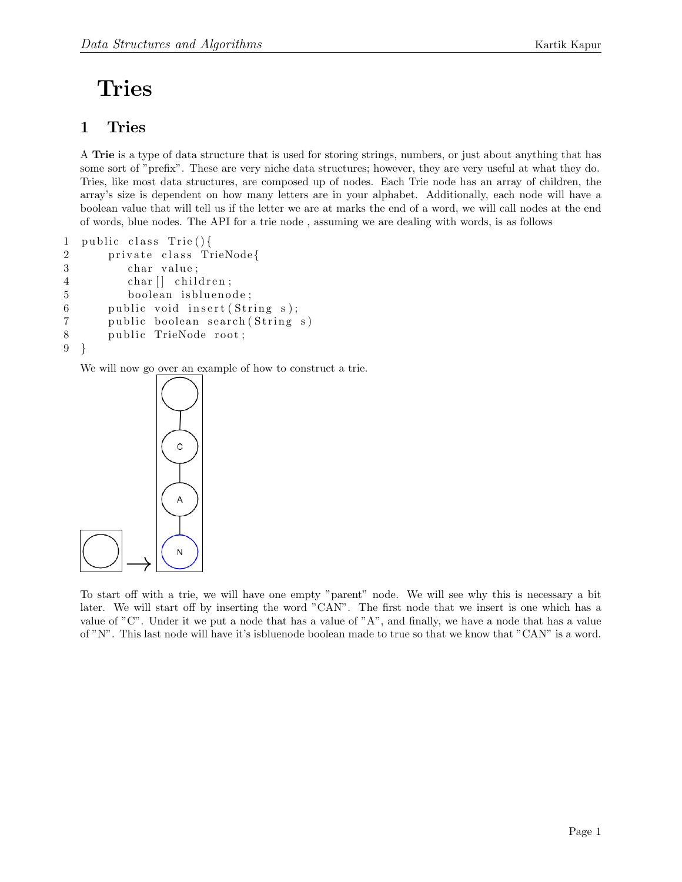## **Tries**

## 1 Tries

A Trie is a type of data structure that is used for storing strings, numbers, or just about anything that has some sort of "prefix". These are very niche data structures; however, they are very useful at what they do. Tries, like most data structures, are composed up of nodes. Each Trie node has an array of children, the array's size is dependent on how many letters are in your alphabet. Additionally, each node will have a boolean value that will tell us if the letter we are at marks the end of a word, we will call nodes at the end of words, blue nodes. The API for a trie node , assuming we are dealing with words, is as follows

```
1 public class Trie()2 private class TrieNode{
3 char value;
4 char [ ] children;
5 boolean isbluenode;
6 public void insert (String s);
7 public boolean search (String s)
8 public TrieNode root;
9 }
```
We will now go over an example of how to construct a trie.



To start off with a trie, we will have one empty "parent" node. We will see why this is necessary a bit later. We will start off by inserting the word "CAN". The first node that we insert is one which has a value of "C". Under it we put a node that has a value of "A", and finally, we have a node that has a value of "N". This last node will have it's isbluenode boolean made to true so that we know that "CAN" is a word.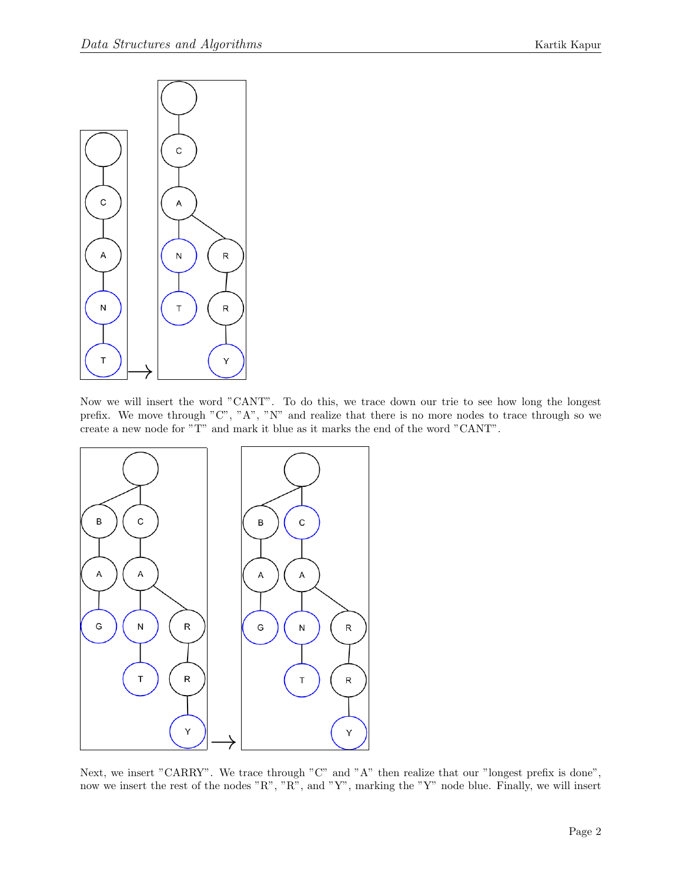

Now we will insert the word "CANT". To do this, we trace down our trie to see how long the longest prefix. We move through "C", "A", "N" and realize that there is no more nodes to trace through so we create a new node for "T" and mark it blue as it marks the end of the word "CANT".



Next, we insert "CARRY". We trace through "C" and "A" then realize that our "longest prefix is done", now we insert the rest of the nodes "R", "R", and "Y", marking the "Y" node blue. Finally, we will insert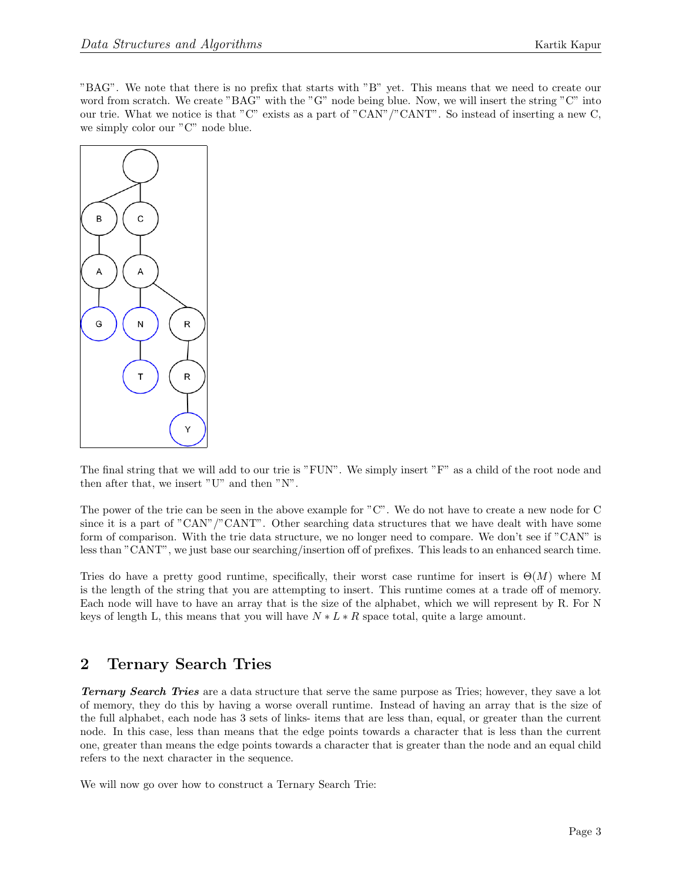"BAG". We note that there is no prefix that starts with "B" yet. This means that we need to create our word from scratch. We create "BAG" with the "G" node being blue. Now, we will insert the string "C" into our trie. What we notice is that "C" exists as a part of "CAN"/"CANT". So instead of inserting a new C, we simply color our "C" node blue.



The final string that we will add to our trie is "FUN". We simply insert "F" as a child of the root node and then after that, we insert "U" and then "N".

The power of the trie can be seen in the above example for "C". We do not have to create a new node for C since it is a part of "CAN"/"CANT". Other searching data structures that we have dealt with have some form of comparison. With the trie data structure, we no longer need to compare. We don't see if "CAN" is less than "CANT", we just base our searching/insertion off of prefixes. This leads to an enhanced search time.

Tries do have a pretty good runtime, specifically, their worst case runtime for insert is  $\Theta(M)$  where M is the length of the string that you are attempting to insert. This runtime comes at a trade off of memory. Each node will have to have an array that is the size of the alphabet, which we will represent by R. For N keys of length L, this means that you will have  $N * L * R$  space total, quite a large amount.

## 2 Ternary Search Tries

**Ternary Search Tries** are a data structure that serve the same purpose as Tries; however, they save a lot of memory, they do this by having a worse overall runtime. Instead of having an array that is the size of the full alphabet, each node has 3 sets of links- items that are less than, equal, or greater than the current node. In this case, less than means that the edge points towards a character that is less than the current one, greater than means the edge points towards a character that is greater than the node and an equal child refers to the next character in the sequence.

We will now go over how to construct a Ternary Search Trie: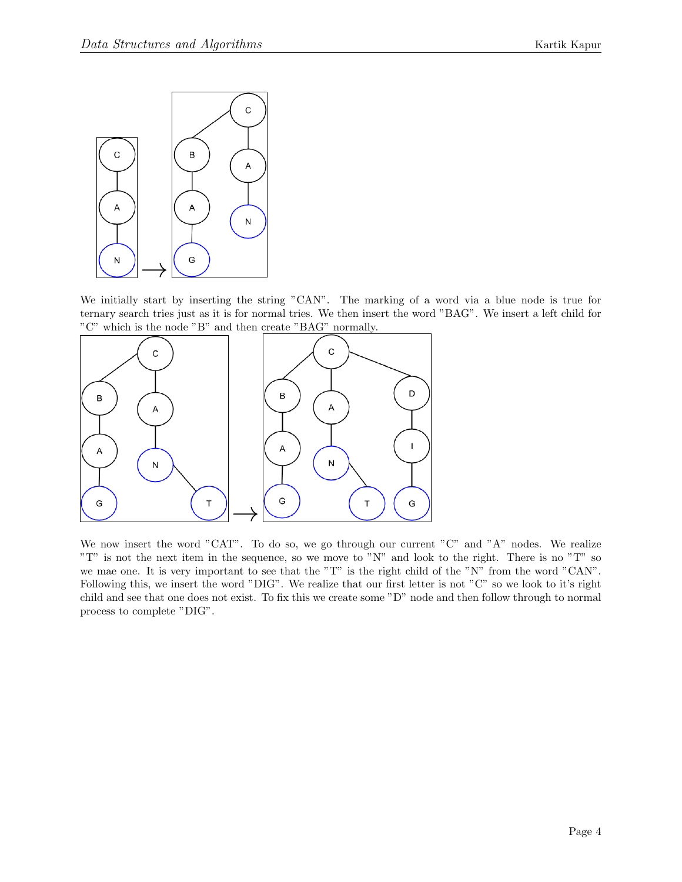

We initially start by inserting the string "CAN". The marking of a word via a blue node is true for ternary search tries just as it is for normal tries. We then insert the word "BAG". We insert a left child for "C" which is the node "B" and then create "BAG" normally.



We now insert the word "CAT". To do so, we go through our current "C" and "A" nodes. We realize "T" is not the next item in the sequence, so we move to "N" and look to the right. There is no "T" so we mae one. It is very important to see that the "T" is the right child of the "N" from the word "CAN". Following this, we insert the word "DIG". We realize that our first letter is not "C" so we look to it's right child and see that one does not exist. To fix this we create some "D" node and then follow through to normal process to complete "DIG".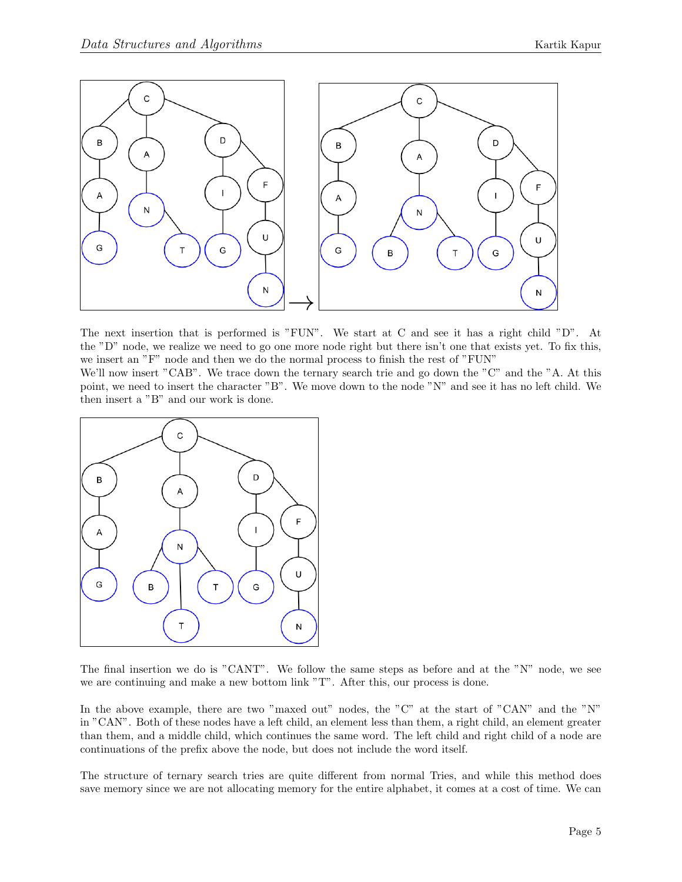

The next insertion that is performed is "FUN". We start at C and see it has a right child "D". At the "D" node, we realize we need to go one more node right but there isn't one that exists yet. To fix this, we insert an "F" node and then we do the normal process to finish the rest of "FUN"

We'll now insert "CAB". We trace down the ternary search trie and go down the "C" and the "A. At this point, we need to insert the character "B". We move down to the node "N" and see it has no left child. We then insert a "B" and our work is done.



The final insertion we do is "CANT". We follow the same steps as before and at the "N" node, we see we are continuing and make a new bottom link "T". After this, our process is done.

In the above example, there are two "maxed out" nodes, the "C" at the start of "CAN" and the "N" in "CAN". Both of these nodes have a left child, an element less than them, a right child, an element greater than them, and a middle child, which continues the same word. The left child and right child of a node are continuations of the prefix above the node, but does not include the word itself.

The structure of ternary search tries are quite different from normal Tries, and while this method does save memory since we are not allocating memory for the entire alphabet, it comes at a cost of time. We can